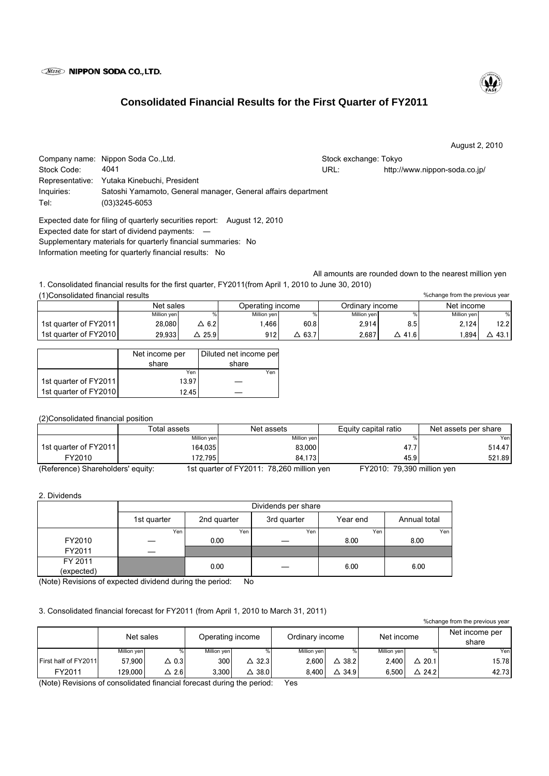## **Wisso NIPPON SODA CO., LTD.**

# **Consolidated Financial Results for the First Quarter of FY2011**

August 2, 2010

|             | Company name: Nippon Soda Co., Ltd.                           | Stock exchange: Tokyo |                               |  |  |  |  |
|-------------|---------------------------------------------------------------|-----------------------|-------------------------------|--|--|--|--|
| Stock Code: | 4041                                                          | URL:                  | http://www.nippon-soda.co.jp/ |  |  |  |  |
|             | Representative: Yutaka Kinebuchi, President                   |                       |                               |  |  |  |  |
| Inquiries:  | Satoshi Yamamoto, General manager, General affairs department |                       |                               |  |  |  |  |
| Tel:        | $(03)3245 - 6053$                                             |                       |                               |  |  |  |  |
|             |                                                               |                       |                               |  |  |  |  |

Expected date for filing of quarterly securities report: August 12, 2010 Expected date for start of dividend payments: ― Supplementary materials for quarterly financial summaries: No Information meeting for quarterly financial results: No

1. Consolidated financial results for the first quarter, FY2011(from April 1, 2010 to June 30, 2010) (1)Consolidated financial results

| .                     |             |      |                  |               |                 |      |             |      |
|-----------------------|-------------|------|------------------|---------------|-----------------|------|-------------|------|
|                       | Net sales   |      | Operating income |               | Ordinarv income |      | Net income  |      |
|                       | Million yen |      | Million yen      |               | Million yen     |      | Million yen |      |
| 1st quarter of FY2011 | 28.080      | 6.2  | .466             | 60.8          | 2.914           | 8.5  | 2.124       | 12.2 |
| 1st quarter of FY2010 | 29.9331     | 25.9 | 912              | $\Delta$ 63.7 | 2,687           | 41.6 | .894        | 43.1 |

|                       | Net income per | Diluted net income per |  |  |
|-----------------------|----------------|------------------------|--|--|
|                       | share          | share                  |  |  |
|                       | Yen            | Yen                    |  |  |
| 1st quarter of FY2011 | 13.97          |                        |  |  |
| 1st quarter of FY2010 | 12.45          |                        |  |  |

## (2)Consolidated financial position

|                                   | Total assets | Net assets                                | Equity capital ratio       | Net assets per share |  |  |  |  |  |
|-----------------------------------|--------------|-------------------------------------------|----------------------------|----------------------|--|--|--|--|--|
|                                   | Million yen  | Million yen                               |                            | Yenl                 |  |  |  |  |  |
| 1st quarter of FY2011             | 164.035      | 83,000                                    | 47.7                       | 514.47               |  |  |  |  |  |
| FY2010                            | 172.795      | 84.173                                    | 45.9                       | 521.89               |  |  |  |  |  |
| (Reference) Shareholders' equity: |              | 1st quarter of FY2011: 78,260 million yen | FY2010: 79,390 million yen |                      |  |  |  |  |  |

#### 2. Dividends

|            | Dividends per share |             |             |          |              |  |  |
|------------|---------------------|-------------|-------------|----------|--------------|--|--|
|            | 1st quarter         | 2nd quarter | 3rd quarter | Year end | Annual total |  |  |
|            | Yen                 | Yen         | Yen         | Yen      | Yen          |  |  |
| FY2010     |                     | 0.00        |             | 8.00     | 8.00         |  |  |
| FY2011     |                     |             |             |          |              |  |  |
| FY 2011    |                     | 0.00        |             | 6.00     | 6.00         |  |  |
| (expected) |                     |             |             |          |              |  |  |

(Note) Revisions of expected dividend during the period: No

## 3. Consolidated financial forecast for FY2011 (from April 1, 2010 to March 31, 2011)

%change from the previous year

|                             | Net sales   |              | Operating income |                   | Ordinary income |                  | Net income  |                  | Net income per<br>share |
|-----------------------------|-------------|--------------|------------------|-------------------|-----------------|------------------|-------------|------------------|-------------------------|
|                             | Million yen |              | Million yen      |                   | Million ven     | %                | Million yen |                  | Yen                     |
| <b>First half of FY2011</b> | 57.900      | $\Delta$ 0.3 | 300 l            | $\triangle$ 32.31 | 2.600           | $\triangle$ 38.2 | 2.400       | $\Delta$ 20.1    | 15.78                   |
| FY2011                      | 129.000     | 2.6          | 3.300            | 38.0              | 8.400           | 34.9<br>Δ        | 6.500       | $\triangle$ 24.2 | 42.73                   |

(Note) Revisions of consolidated financial forecast during the period: Yes



%change from the previous year

All amounts are rounded down to the nearest million yen